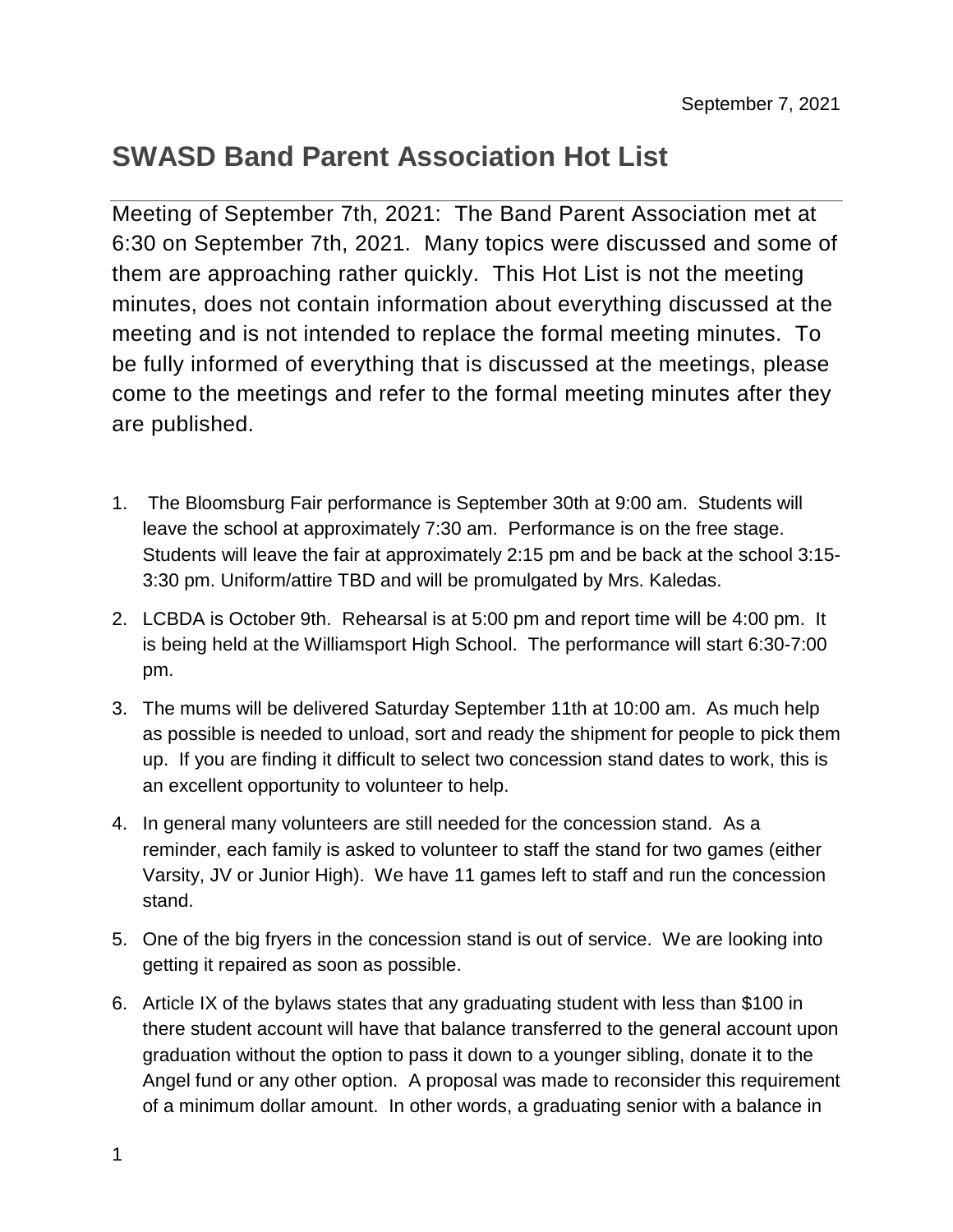## **SWASD Band Parent Association Hot List**

Meeting of September 7th, 2021: The Band Parent Association met at 6:30 on September 7th, 2021. Many topics were discussed and some of them are approaching rather quickly. This Hot List is not the meeting minutes, does not contain information about everything discussed at the meeting and is not intended to replace the formal meeting minutes. To be fully informed of everything that is discussed at the meetings, please come to the meetings and refer to the formal meeting minutes after they are published.

- 1. The Bloomsburg Fair performance is September 30th at 9:00 am. Students will leave the school at approximately 7:30 am. Performance is on the free stage. Students will leave the fair at approximately 2:15 pm and be back at the school 3:15- 3:30 pm. Uniform/attire TBD and will be promulgated by Mrs. Kaledas.
- 2. LCBDA is October 9th. Rehearsal is at 5:00 pm and report time will be 4:00 pm. It is being held at the Williamsport High School. The performance will start 6:30-7:00 pm.
- 3. The mums will be delivered Saturday September 11th at 10:00 am. As much help as possible is needed to unload, sort and ready the shipment for people to pick them up. If you are finding it difficult to select two concession stand dates to work, this is an excellent opportunity to volunteer to help.
- 4. In general many volunteers are still needed for the concession stand. As a reminder, each family is asked to volunteer to staff the stand for two games (either Varsity, JV or Junior High). We have 11 games left to staff and run the concession stand.
- 5. One of the big fryers in the concession stand is out of service. We are looking into getting it repaired as soon as possible.
- 6. Article IX of the bylaws states that any graduating student with less than \$100 in there student account will have that balance transferred to the general account upon graduation without the option to pass it down to a younger sibling, donate it to the Angel fund or any other option. A proposal was made to reconsider this requirement of a minimum dollar amount. In other words, a graduating senior with a balance in